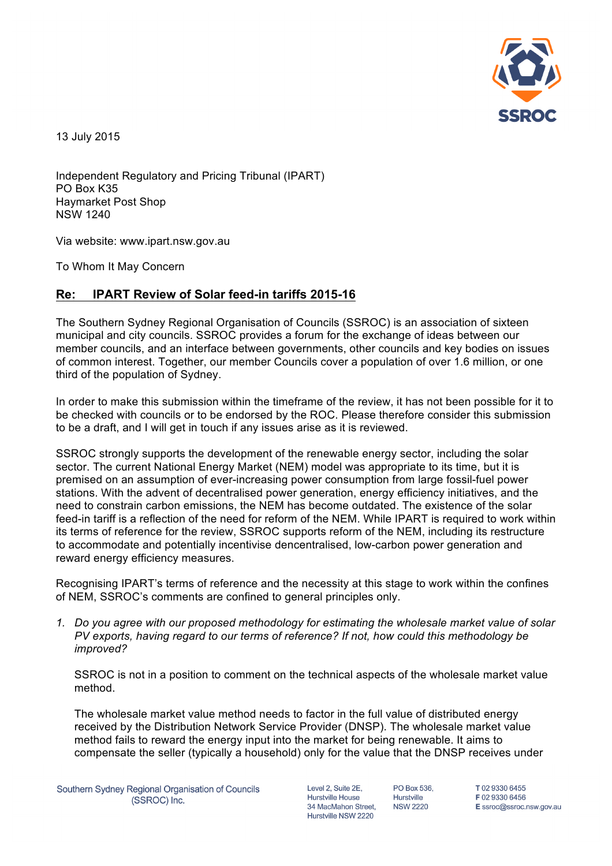

13 July 2015

Independent Regulatory and Pricing Tribunal (IPART) PO Box K35 Haymarket Post Shop NSW 1240

Via website: www.ipart.nsw.gov.au

To Whom It May Concern

## **Re: IPART Review of Solar feed-in tariffs 2015-16**

The Southern Sydney Regional Organisation of Councils (SSROC) is an association of sixteen municipal and city councils. SSROC provides a forum for the exchange of ideas between our member councils, and an interface between governments, other councils and key bodies on issues of common interest. Together, our member Councils cover a population of over 1.6 million, or one third of the population of Sydney.

In order to make this submission within the timeframe of the review, it has not been possible for it to be checked with councils or to be endorsed by the ROC. Please therefore consider this submission to be a draft, and I will get in touch if any issues arise as it is reviewed.

SSROC strongly supports the development of the renewable energy sector, including the solar sector. The current National Energy Market (NEM) model was appropriate to its time, but it is premised on an assumption of ever-increasing power consumption from large fossil-fuel power stations. With the advent of decentralised power generation, energy efficiency initiatives, and the need to constrain carbon emissions, the NEM has become outdated. The existence of the solar feed-in tariff is a reflection of the need for reform of the NEM. While IPART is required to work within its terms of reference for the review, SSROC supports reform of the NEM, including its restructure to accommodate and potentially incentivise dencentralised, low-carbon power generation and reward energy efficiency measures.

Recognising IPART's terms of reference and the necessity at this stage to work within the confines of NEM, SSROC's comments are confined to general principles only.

*1. Do you agree with our proposed methodology for estimating the wholesale market value of solar PV exports, having regard to our terms of reference? If not, how could this methodology be improved?* 

SSROC is not in a position to comment on the technical aspects of the wholesale market value method.

The wholesale market value method needs to factor in the full value of distributed energy received by the Distribution Network Service Provider (DNSP). The wholesale market value method fails to reward the energy input into the market for being renewable. It aims to compensate the seller (typically a household) only for the value that the DNSP receives under

Level 2, Suite 2E, **Hurstville House** 34 MacMahon Street Hurstville NSW 2220

PO Box 536. Hurstville **NSW 2220** 

T0293306455 F0293306456 E ssroc@ssroc.nsw.gov.au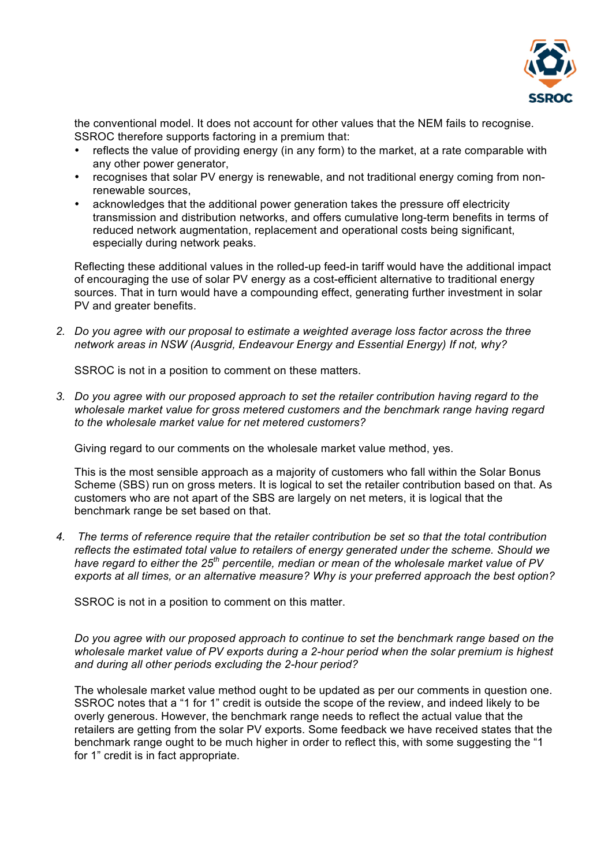

the conventional model. It does not account for other values that the NEM fails to recognise. SSROC therefore supports factoring in a premium that:

- reflects the value of providing energy (in any form) to the market, at a rate comparable with any other power generator,
- recognises that solar PV energy is renewable, and not traditional energy coming from nonrenewable sources,
- acknowledges that the additional power generation takes the pressure off electricity transmission and distribution networks, and offers cumulative long-term benefits in terms of reduced network augmentation, replacement and operational costs being significant, especially during network peaks.

Reflecting these additional values in the rolled-up feed-in tariff would have the additional impact of encouraging the use of solar PV energy as a cost-efficient alternative to traditional energy sources. That in turn would have a compounding effect, generating further investment in solar PV and greater benefits.

*2. Do you agree with our proposal to estimate a weighted average loss factor across the three network areas in NSW (Ausgrid, Endeavour Energy and Essential Energy) If not, why?*

SSROC is not in a position to comment on these matters.

*3. Do you agree with our proposed approach to set the retailer contribution having regard to the wholesale market value for gross metered customers and the benchmark range having regard to the wholesale market value for net metered customers?* 

Giving regard to our comments on the wholesale market value method, yes.

This is the most sensible approach as a majority of customers who fall within the Solar Bonus Scheme (SBS) run on gross meters. It is logical to set the retailer contribution based on that. As customers who are not apart of the SBS are largely on net meters, it is logical that the benchmark range be set based on that.

*4. The terms of reference require that the retailer contribution be set so that the total contribution reflects the estimated total value to retailers of energy generated under the scheme. Should we have regard to either the 25th percentile, median or mean of the wholesale market value of PV exports at all times, or an alternative measure? Why is your preferred approach the best option?*

SSROC is not in a position to comment on this matter.

*Do you agree with our proposed approach to continue to set the benchmark range based on the wholesale market value of PV exports during a 2-hour period when the solar premium is highest and during all other periods excluding the 2-hour period?*

The wholesale market value method ought to be updated as per our comments in question one. SSROC notes that a "1 for 1" credit is outside the scope of the review, and indeed likely to be overly generous. However, the benchmark range needs to reflect the actual value that the retailers are getting from the solar PV exports. Some feedback we have received states that the benchmark range ought to be much higher in order to reflect this, with some suggesting the "1 for 1" credit is in fact appropriate.